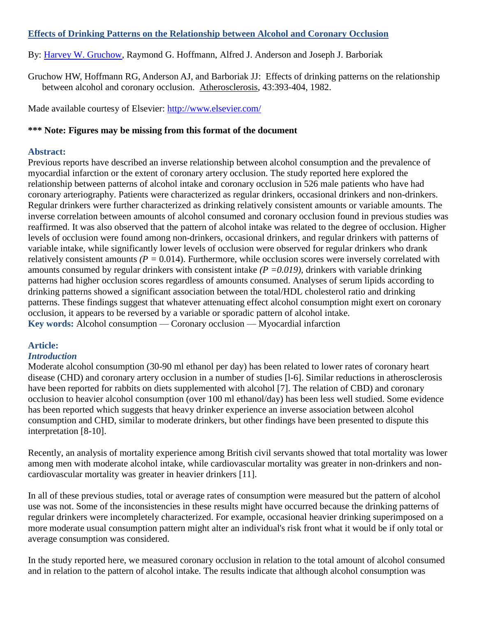## **Effects of Drinking Patterns on the Relationship between Alcohol and Coronary Occlusion**

By: [Harvey W. Gruchow,](http://libres.uncg.edu/ir/uncg/clist.aspx?id=1540) Raymond G. Hoffmann, Alfred J. Anderson and Joseph J. Barboriak

Gruchow HW, Hoffmann RG, Anderson AJ, and Barboriak JJ: Effects of drinking patterns on the relationship between alcohol and coronary occlusion. Atherosclerosis, 43:393-404, 1982.

Made available courtesy of Elsevier:<http://www.elsevier.com/>

#### **\*\*\* Note: Figures may be missing from this format of the document**

#### **Abstract:**

Previous reports have described an inverse relationship between alcohol consumption and the prevalence of myocardial infarction or the extent of coronary artery occlusion. The study reported here explored the relationship between patterns of alcohol intake and coronary occlusion in 526 male patients who have had coronary arteriography. Patients were characterized as regular drinkers, occasional drinkers and non-drinkers. Regular drinkers were further characterized as drinking relatively consistent amounts or variable amounts. The inverse correlation between amounts of alcohol consumed and coronary occlusion found in previous studies was reaffirmed. It was also observed that the pattern of alcohol intake was related to the degree of occlusion. Higher levels of occlusion were found among non-drinkers, occasional drinkers, and regular drinkers with patterns of variable intake, while significantly lower levels of occlusion were observed for regular drinkers who drank relatively consistent amounts *(P =* 0.014). Furthermore, while occlusion scores were inversely correlated with amounts consumed by regular drinkers with consistent intake *(P =0.019),* drinkers with variable drinking patterns had higher occlusion scores regardless of amounts consumed. Analyses of serum lipids according to drinking patterns showed a significant association between the total/HDL cholesterol ratio and drinking patterns. These findings suggest that whatever attenuating effect alcohol consumption might exert on coronary occlusion, it appears to be reversed by a variable or sporadic pattern of alcohol intake. **Key words:** Alcohol consumption — Coronary occlusion — Myocardial infarction

# **Article:**

# *Introduction*

Moderate alcohol consumption (30-90 ml ethanol per day) has been related to lower rates of coronary heart disease (CHD) and coronary artery occlusion in a number of studies [l-6]. Similar reductions in atherosclerosis have been reported for rabbits on diets supplemented with alcohol [7]. The relation of CBD) and coronary occlusion to heavier alcohol consumption (over 100 ml ethanol/day) has been less well studied. Some evidence has been reported which suggests that heavy drinker experience an inverse association between alcohol consumption and CHD, similar to moderate drinkers, but other findings have been presented to dispute this interpretation [8-10].

Recently, an analysis of mortality experience among British civil servants showed that total mortality was lower among men with moderate alcohol intake, while cardiovascular mortality was greater in non-drinkers and noncardiovascular mortality was greater in heavier drinkers [11].

In all of these previous studies, total or average rates of consumption were measured but the pattern of alcohol use was not. Some of the inconsistencies in these results might have occurred because the drinking patterns of regular drinkers were incompletely characterized. For example, occasional heavier drinking superimposed on a more moderate usual consumption pattern might alter an individual's risk front what it would be if only total or average consumption was considered.

In the study reported here, we measured coronary occlusion in relation to the total amount of alcohol consumed and in relation to the pattern of alcohol intake. The results indicate that although alcohol consumption was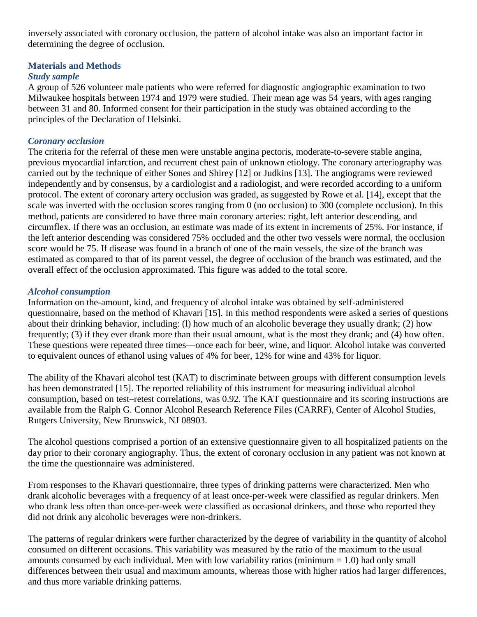inversely associated with coronary occlusion, the pattern of alcohol intake was also an important factor in determining the degree of occlusion.

# **Materials and Methods**

# *Study sample*

A group of 526 volunteer male patients who were referred for diagnostic angiographic examination to two Milwaukee hospitals between 1974 and 1979 were studied. Their mean age was 54 years, with ages ranging between 31 and 80. Informed consent for their participation in the study was obtained according to the principles of the Declaration of Helsinki.

# *Coronary occlusion*

The criteria for the referral of these men were unstable angina pectoris, moderate-to-severe stable angina, previous myocardial infarction, and recurrent chest pain of unknown etiology. The coronary arteriography was carried out by the technique of either Sones and Shirey [12] or Judkins [13]. The angiograms were reviewed independently and by consensus, by a cardiologist and a radiologist, and were recorded according to a uniform protocol. The extent of coronary artery occlusion was graded, as suggested by Rowe et al. [14], except that the scale was inverted with the occlusion scores ranging from 0 (no occlusion) to 300 (complete occlusion). In this method, patients are considered to have three main coronary arteries: right, left anterior descending, and circumflex. If there was an occlusion, an estimate was made of its extent in increments of 25%. For instance, if the left anterior descending was considered 75% occluded and the other two vessels were normal, the occlusion score would be 75. If disease was found in a branch of one of the main vessels, the size of the branch was estimated as compared to that of its parent vessel, the degree of occlusion of the branch was estimated, and the overall effect of the occlusion approximated. This figure was added to the total score.

# *Alcohol consumption*

Information on the-amount, kind, and frequency of alcohol intake was obtained by self-administered questionnaire, based on the method of Khavari [15]. In this method respondents were asked a series of questions about their drinking behavior, including: (l) how much of an alcoholic beverage they usually drank; (2) how frequently; (3) if they ever drank more than their usual amount, what is the most they drank; and (4) how often. These questions were repeated three times—once each for beer, wine, and liquor. Alcohol intake was converted to equivalent ounces of ethanol using values of 4% for beer, 12% for wine and 43% for liquor.

The ability of the Khavari alcohol test (KAT) to discriminate between groups with different consumption levels has been demonstrated [15]. The reported reliability of this instrument for measuring individual alcohol consumption, based on test–retest correlations, was 0.92. The KAT questionnaire and its scoring instructions are available from the Ralph G. Connor Alcohol Research Reference Files (CARRF), Center of Alcohol Studies, Rutgers University, New Brunswick, NJ 08903.

The alcohol questions comprised a portion of an extensive questionnaire given to all hospitalized patients on the day prior to their coronary angiography. Thus, the extent of coronary occlusion in any patient was not known at the time the questionnaire was administered.

From responses to the Khavari questionnaire, three types of drinking patterns were characterized. Men who drank alcoholic beverages with a frequency of at least once-per-week were classified as regular drinkers. Men who drank less often than once-per-week were classified as occasional drinkers, and those who reported they did not drink any alcoholic beverages were non-drinkers.

The patterns of regular drinkers were further characterized by the degree of variability in the quantity of alcohol consumed on different occasions. This variability was measured by the ratio of the maximum to the usual amounts consumed by each individual. Men with low variability ratios (minimum  $= 1.0$ ) had only small differences between their usual and maximum amounts, whereas those with higher ratios had larger differences, and thus more variable drinking patterns.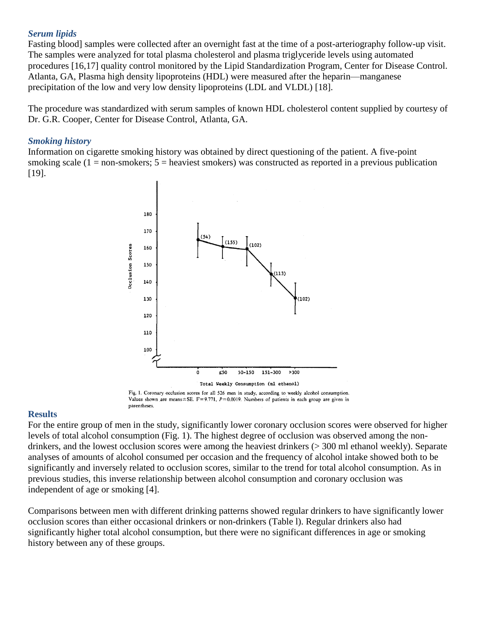#### *Serum lipids*

Fasting blood] samples were collected after an overnight fast at the time of a post-arteriography follow-up visit. The samples were analyzed for total plasma cholesterol and plasma triglyceride levels using automated procedures [16,17] quality control monitored by the Lipid Standardization Program, Center for Disease Control. Atlanta, GA, Plasma high density lipoproteins (HDL) were measured after the heparin—manganese precipitation of the low and very low density lipoproteins (LDL and VLDL) [18].

The procedure was standardized with serum samples of known HDL cholesterol content supplied by courtesy of Dr. G.R. Cooper, Center for Disease Control, Atlanta, GA.

#### *Smoking history*

Information on cigarette smoking history was obtained by direct questioning of the patient. A five-point smoking scale  $(1 = non-smokers; 5 = heavier smokers)$  was constructed as reported in a previous publication [19].



Fig. 1. Coronary occlusion scores for all 526 men in study, according to weekly alcohol consumption. Values shown are means ± SE.  $F = 9.771$ ,  $P = 0.0019$ . Numbers of patients in each group are given in parentheses.

# **Results**

For the entire group of men in the study, significantly lower coronary occlusion scores were observed for higher levels of total alcohol consumption (Fig. 1). The highest degree of occlusion was observed among the nondrinkers, and the lowest occlusion scores were among the heaviest drinkers (> 300 ml ethanol weekly). Separate analyses of amounts of alcohol consumed per occasion and the frequency of alcohol intake showed both to be significantly and inversely related to occlusion scores, similar to the trend for total alcohol consumption. As in previous studies, this inverse relationship between alcohol consumption and coronary occlusion was independent of age or smoking [4].

Comparisons between men with different drinking patterns showed regular drinkers to have significantly lower occlusion scores than either occasional drinkers or non-drinkers (Table l). Regular drinkers also had significantly higher total alcohol consumption, but there were no significant differences in age or smoking history between any of these groups.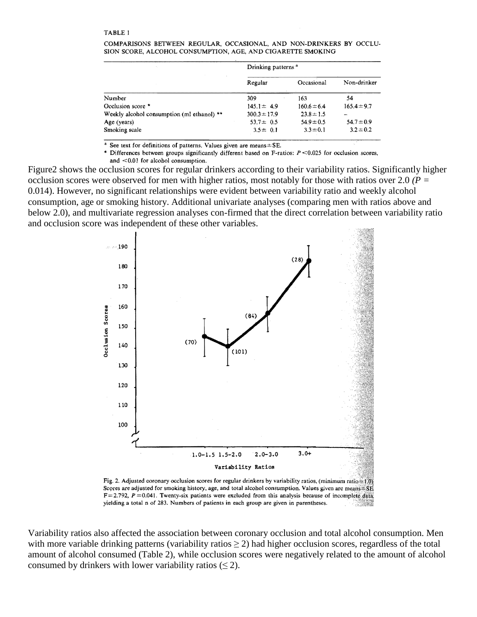|                                            | Drinking patterns <sup>a</sup> |                 |                 |
|--------------------------------------------|--------------------------------|-----------------|-----------------|
|                                            | Regular                        | Occasional      | Non-drinker     |
| Number                                     | 309                            | 163             | 54              |
| Occlusion score *                          | $145.1 \pm 4.9$                | $160.6 \pm 6.4$ | $165.4 \pm 9.7$ |
| Weekly alcohol consumption (ml ethanol) ** | $300.3 \pm 17.9$               | $23.8 \pm 1.5$  |                 |
| Age (years)                                | 53.7 $\pm$ 0.5                 | $54.9 \pm 0.5$  | $54.7 \pm 0.9$  |
| Smoking scale                              | $3.5 \pm 0.1$                  | $3.3 \pm 0.1$   | $3.2 \pm 0.2$   |
|                                            |                                |                 |                 |

COMPARISONS BETWEEN REGULAR, OCCASIONAL, AND NON-DRINKERS BY OCCLU-SION SCORE, ALCOHOL CONSUMPTION, AGE, AND CIGARETTE SMOKING

See text for definitions of patterns. Values given are means ± SE.

\* Differences between groups significantly different based on F-ratios:  $P \le 0.025$  for occlusion scores, and <0.01 for alcohol consumption.

Figure2 shows the occlusion scores for regular drinkers according to their variability ratios. Significantly higher occlusion scores were observed for men with higher ratios, most notably for those with ratios over 2.0 *(P =*  0.014). However, no significant relationships were evident between variability ratio and weekly alcohol consumption, age or smoking history. Additional univariate analyses (comparing men with ratios above and below 2.0), and multivariate regression analyses con-firmed that the direct correlation between variability ratio and occlusion score was independent of these other variables.



Scores are adjusted for smoking history, age, and total alcohol consumption. Values given are means: SE  $F = 2.792$ ,  $P = 0.041$ . Twenty-six patients were excluded from this analysis because of incomplete data, yielding a total n of 283. Numbers of patients in each group are given in parentheses.

Variability ratios also affected the association between coronary occlusion and total alcohol consumption. Men with more variable drinking patterns (variability ratios  $\geq$  2) had higher occlusion scores, regardless of the total amount of alcohol consumed (Table 2), while occlusion scores were negatively related to the amount of alcohol consumed by drinkers with lower variability ratios  $(\leq 2)$ .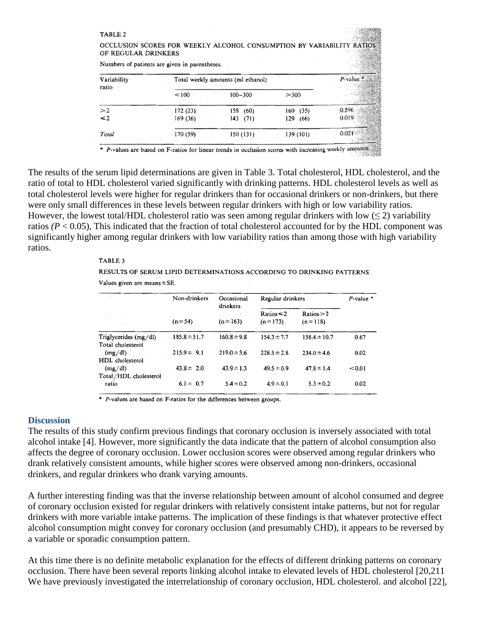| TABLE 2<br>OCCLUSION SCORES FOR WEEKLY ALCOHOL CONSUMPTION BY VARIABILITY RATIOS<br>OF REGULAR DRINKERS<br>Numbers of patients are given in parentheses. |                                   |                    |                            |                |  |  |  |
|----------------------------------------------------------------------------------------------------------------------------------------------------------|-----------------------------------|--------------------|----------------------------|----------------|--|--|--|
| Variability<br>ratio                                                                                                                                     | Total weekly amounts (ml ethanol) |                    |                            | $P$ -value     |  |  |  |
|                                                                                                                                                          | < 100                             | $100 - 300$        | >300                       |                |  |  |  |
| >2<br>$\leq 2$                                                                                                                                           | 172(23)<br>169(36)                | 158(60)<br>143(71) | (35)<br>160<br>129<br>(66) | 0.596<br>0.019 |  |  |  |
| Total                                                                                                                                                    | 170 (59)                          | 150 (131)          | 139 (101)                  | 0.021          |  |  |  |

P-values are based on F-ratios for linear trends in occlusion scores with increasing weekly amounts

The results of the serum lipid determinations are given in Table 3. Total cholesterol, HDL cholesterol, and the ratio of total to HDL cholesterol varied significantly with drinking patterns. HDL cholesterol levels as well as total cholesterol levels were higher for regular drinkers than for occasional drinkers or non-drinkers, but there were only small differences in these levels between regular drinkers with high or low variability ratios. However, the lowest total/HDL cholesterol ratio was seen among regular drinkers with low  $(\leq 2)$  variability ratios  $(P < 0.05)$ , This indicated that the fraction of total cholesterol accounted for by the HDL component was significantly higher among regular drinkers with low variability ratios than among those with high variability ratios.

#### TABLE 3

RESULTS OF SERUM LIPID DETERMINATIONS ACCORDING TO DRINKING PATTERNS Values given are means ± SE.

|                                            | Non-drinkers     | Occasional<br>drinkers<br>$(n=163)$ | Regular drinkers             |                         | $P$ -value $*$ |
|--------------------------------------------|------------------|-------------------------------------|------------------------------|-------------------------|----------------|
|                                            | $(n=54)$         |                                     | Ratios $\leq 2$<br>$(n=173)$ | Ratios > 2<br>$(n=118)$ |                |
| Triglycerides (mg/dl)<br>Total cholesterol | $185.8 \pm 51.7$ | $160.8 \pm 9.8$                     | $154.3 \pm 7.7$              | $158.4 \pm 10.7$        | 0.67           |
| (mg/dl)<br>HDL cholesterol                 | $215.9 \pm 9.1$  | $219.0 \pm 3.6$                     | $228.5 \pm 2.8$              | $234.0 \pm 4.6$         | 0.02           |
| (mg/dl)<br>Total/HDL cholesterol           | $43.8 \pm 2.0$   | $43.9 \pm 1.3$                      | $49.5 \pm 0.9$               | $47.8 \pm 1.4$          | < 0.01         |
| ratio                                      | $6.1 \pm 0.7$    | $5.4 \pm 0.2$                       | $4.9 \pm 0.1$                | $5.3 \pm 0.2$           | 0.02           |

\* P-values are based on F-ratios for the differences between groups.

#### **Discussion**

The results of this study confirm previous findings that coronary occlusion is inversely associated with total alcohol intake [4]. However, more significantly the data indicate that the pattern of alcohol consumption also affects the degree of coronary occlusion. Lower occlusion scores were observed among regular drinkers who drank relatively consistent amounts, while higher scores were observed among non-drinkers, occasional drinkers, and regular drinkers who drank varying amounts.

A further interesting finding was that the inverse relationship between amount of alcohol consumed and degree of coronary occlusion existed for regular drinkers with relatively consistent intake patterns, but not for regular drinkers with more variable intake patterns. The implication of these findings is that whatever protective effect alcohol consumption might convey for coronary occlusion (and presumably CHD), it appears to be reversed by a variable or sporadic consumption pattern.

At this time there is no definite metabolic explanation for the effects of different drinking patterns on coronary occlusion. There have been several reports linking alcohol intake to elevated levels of HDL cholesterol [20,211 We have previously investigated the interrelationship of coronary occlusion, HDL cholesterol. and alcohol [22],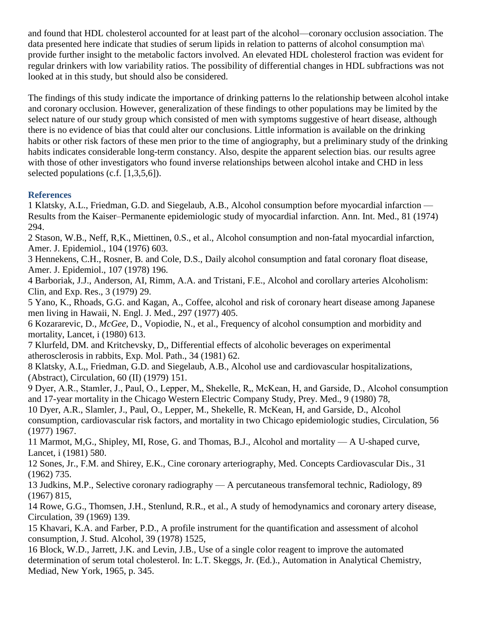and found that HDL cholesterol accounted for at least part of the alcohol—coronary occlusion association. The data presented here indicate that studies of serum lipids in relation to patterns of alcohol consumption ma\ provide further insight to the metabolic factors involved. An elevated HDL cholesterol fraction was evident for regular drinkers with low variability ratios. The possibility of differential changes in HDL subfractions was not looked at in this study, but should also be considered.

The findings of this study indicate the importance of drinking patterns lo the relationship between alcohol intake and coronary occlusion. However, generalization of these findings to other populations may be limited by the select nature of our study group which consisted of men with symptoms suggestive of heart disease, although there is no evidence of bias that could alter our conclusions. Little information is available on the drinking habits or other risk factors of these men prior to the time of angiography, but a preliminary study of the drinking habits indicates considerable long-term constancy. Also, despite the apparent selection bias. our results agree with those of other investigators who found inverse relationships between alcohol intake and CHD in less selected populations (c.f. [1,3,5,6]).

# **References**

1 Klatsky, A.L., Friedman, G.D. and Siegelaub, A.B., Alcohol consumption before myocardial infarction — Results from the Kaiser–Permanente epidemiologic study of myocardial infarction. Ann. Int. Med., 81 (1974) 294.

2 Stason, W.B., Neff, R,K., Miettinen, 0.S., et al., Alcohol consumption and non-fatal myocardial infarction, Amer. J. Epidemiol., 104 (1976) 603.

3 Hennekens, C.H., Rosner, B. and Cole, D.S., Daily alcohol consumption and fatal coronary float disease, Amer. J. Epidemiol., 107 (1978) 196.

4 Barboriak, J.J., Anderson, AI, Rimm, A.A. and Tristani, F.E., Alcohol and corollary arteries Alcoholism: Clin, and Exp. Res., 3 (1979) 29.

5 Yano, K., Rhoads, G.G. and Kagan, A., Coffee, alcohol and risk of coronary heart disease among Japanese men living in Hawaii, N. Engl. J. Med., 297 (1977) 405.

6 Kozararevic, D., *McGee,* D., Vopiodie, N., et al., Frequency of alcohol consumption and morbidity and mortality, Lancet, i (1980) 613.

7 Klurfeld, DM. and Kritchevsky, D,, Differential effects of alcoholic beverages on experimental atherosclerosis in rabbits, Exp. Mol. Path., 34 (1981) 62.

8 Klatsky, A.L,, Friedman, G.D. and Siegelaub, A.B., Alcohol use and cardiovascular hospitalizations, (Abstract), Circulation, 60 (II) (1979) 151.

9 Dyer, A.R., Stamler, J., Paul, O., Lepper, M., Shekelle, R., McKean, H, and Garside, D., Alcohol consumption and 17-year mortality in the Chicago Western Electric Company Study, Prey. Med., 9 (1980) 78,

10 Dyer, A.R., Slamler, J., Paul, O., Lepper, M., Shekelle, R. McKean, H, and Garside, D., Alcohol consumption, cardiovascular risk factors, and mortality in two Chicago epidemiologic studies, Circulation, 56 (1977) 1967.

11 Marmot, M,G., Shipley, MI, Rose, G. and Thomas, B.J., Alcohol and mortality — A U-shaped curve, Lancet, i (1981) 580.

12 Sones, Jr., F.M. and Shirey, E.K., Cine coronary arteriography, Med. Concepts Cardiovascular Dis., 31 (1962) 735.

13 Judkins, M.P., Selective coronary radiography — A percutaneous transfemoral technic, Radiology, 89 (1967) 815,

14 Rowe, G.G., Thomsen, J.H., Stenlund, R.R., et al., A study of hemodynamics and coronary artery disease, Circulation, 39 (1969) 139.

15 Khavari, K.A. and Farber, P.D., A profile instrument for the quantification and assessment of alcohol consumption, J. Stud. Alcohol, 39 (1978) 1525,

16 Block, W.D., Jarrett, J.K. and Levin, J.B., Use of a single color reagent to improve the automated determination of serum total cholesterol. In: L.T. Skeggs, Jr. (Ed.)., Automation in Analytical Chemistry, Mediad, New York, 1965, p. 345.